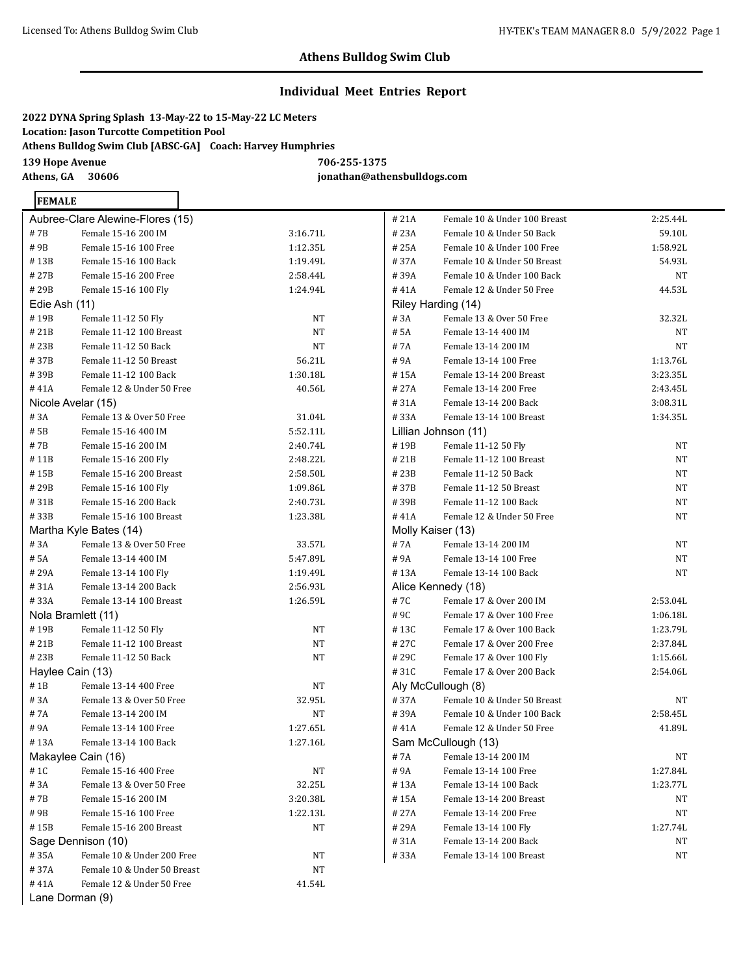2:25.44L 59.10L 1:58.92L 54.93L

#### **Athens Bulldog Swim Club**

#### **Individual Meet Entries Report**

**2022 DYNA Spring Splash 13-May-22 to 15-May-22 LC Meters Location: Jason Turcotte Competition Pool Athens Bulldog Swim Club [ABSC-GA] Coach: Harvey Humphries 139 Hope Avenue 706-255-1375**

**FEMALE** 

**Athens, GA 30606 jonathan@athensbulldogs.com**

|               | Aubree-Clare Alewine-Flores (15) |           | #21A  | Female 10 & Under 100 Breast | 2:25.44L  |
|---------------|----------------------------------|-----------|-------|------------------------------|-----------|
| #7B           | Female 15-16 200 IM              | 3:16.71L  | #23A  | Female 10 & Under 50 Back    | 59.10L    |
| #9B           | Female 15-16 100 Free            | 1:12.35L  | #25A  | Female 10 & Under 100 Free   | 1:58.92L  |
| #13B          | Female 15-16 100 Back            | 1:19.49L  | #37A  | Female 10 & Under 50 Breast  | 54.93L    |
| #27B          | Female 15-16 200 Free            | 2:58.44L  | #39A  | Female 10 & Under 100 Back   | <b>NT</b> |
| #29B          | Female 15-16 100 Fly             | 1:24.94L  | #41A  | Female 12 & Under 50 Free    | 44.53L    |
| Edie Ash (11) |                                  |           |       | Riley Harding (14)           |           |
| #19B          | Female 11-12 50 Fly              | <b>NT</b> | #3A   | Female 13 & Over 50 Free     | 32.32L    |
| #21B          | Female 11-12 100 Breast          | NT        | # 5A  | Female 13-14 400 IM          | NT        |
| #23B          | Female 11-12 50 Back             | NT        | # 7A  | Female 13-14 200 IM          | <b>NT</b> |
| #37B          | Female 11-12 50 Breast           | 56.21L    | #9A   | Female 13-14 100 Free        | 1:13.76L  |
| #39B          | Female 11-12 100 Back            | 1:30.18L  | #15A  | Female 13-14 200 Breast      | 3:23.35L  |
| #41A          | Female 12 & Under 50 Free        | 40.56L    | # 27A | Female 13-14 200 Free        | 2:43.45L  |
|               | Nicole Avelar (15)               |           | #31A  | Female 13-14 200 Back        | 3:08.31L  |
| #3A           | Female 13 & Over 50 Free         | 31.04L    | #33A  | Female 13-14 100 Breast      | 1:34.35L  |
| # 5B          | Female 15-16 400 IM              | 5:52.11L  |       | Lillian Johnson (11)         |           |
| #7B           | Female 15-16 200 IM              | 2:40.74L  | #19B  | Female 11-12 50 Fly          | <b>NT</b> |
| #11B          | Female 15-16 200 Fly             | 2:48.22L  | #21B  | Female 11-12 100 Breast      | <b>NT</b> |
| #15B          | Female 15-16 200 Breast          | 2:58.50L  | #23B  | Female 11-12 50 Back         | <b>NT</b> |
| #29B          | Female 15-16 100 Fly             | 1:09.86L  | #37B  | Female 11-12 50 Breast       | NT        |
| #31B          | Female 15-16 200 Back            | 2:40.73L  | #39B  | Female 11-12 100 Back        | <b>NT</b> |
| #33B          | Female 15-16 100 Breast          | 1:23.38L  | #41A  | Female 12 & Under 50 Free    | <b>NT</b> |
|               | Martha Kyle Bates (14)           |           |       | Molly Kaiser (13)            |           |
| #3A           | Female 13 & Over 50 Free         | 33.57L    | #7A   | Female 13-14 200 IM          | <b>NT</b> |
| # 5A          | Female 13-14 400 IM              | 5:47.89L  | #9A   | Female 13-14 100 Free        | <b>NT</b> |
| #29A          | Female 13-14 100 Fly             | 1:19.49L  | #13A  | Female 13-14 100 Back        | <b>NT</b> |
| #31A          | Female 13-14 200 Back            | 2:56.93L  |       | Alice Kennedy (18)           |           |
| #33A          | Female 13-14 100 Breast          | 1:26.59L  | #7C   | Female 17 & Over 200 IM      | 2:53.04L  |
|               | Nola Bramlett (11)               |           | #9C   | Female 17 & Over 100 Free    | 1:06.18L  |
| #19B          | Female 11-12 50 Fly              | <b>NT</b> | #13C  | Female 17 & Over 100 Back    | 1:23.79L  |
| #21B          | Female 11-12 100 Breast          | NT        | # 27C | Female 17 & Over 200 Free    | 2:37.84L  |
| #23B          | Female 11-12 50 Back             | NT        | #29C  | Female 17 & Over 100 Fly     | 1:15.66L  |
|               | Haylee Cain (13)                 |           | #31C  | Female 17 & Over 200 Back    | 2:54.06L  |
| #1B           | Female 13-14 400 Free            | NT        |       | Aly McCullough (8)           |           |
| #3A           | Female 13 & Over 50 Free         | 32.95L    | #37A  | Female 10 & Under 50 Breast  | NT        |
| #7A           | Female 13-14 200 IM              | NT        | #39A  | Female 10 & Under 100 Back   | 2:58.45L  |
| #9A           | Female 13-14 100 Free            | 1:27.65L  | #41A  | Female 12 & Under 50 Free    | 41.89L    |
| #13A          | Female 13-14 100 Back            | 1:27.16L  |       | Sam McCullough (13)          |           |
|               | Makaylee Cain (16)               |           | #7A   | Female 13-14 200 IM          | NT        |
| # 1C          | Female 15-16 400 Free            | NT        | #9A   | Female 13-14 100 Free        | 1:27.84L  |
| #3A           | Female 13 & Over 50 Free         | 32.25L    |       | Female 13-14 100 Back        | 1:23.77L  |
|               | Female 15-16 200 IM              |           | #13A  |                              | NT        |
| #7B           | Female 15-16 100 Free            | 3:20.38L  | #15A  | Female 13-14 200 Breast      |           |
| #9B           |                                  | 1:22.13L  | # 27A | Female 13-14 200 Free        | NT        |
| #15B          | Female 15-16 200 Breast          | NΤ        | # 29A | Female 13-14 100 Fly         | 1:27.74L  |
|               | Sage Dennison (10)               |           | #31A  | Female 13-14 200 Back        | ΝT        |
| #35A          | Female 10 & Under 200 Free       | NT        | #33A  | Female 13-14 100 Breast      | NT        |
| #37A<br>#41A  | Female 10 & Under 50 Breast      | NT        |       |                              |           |
|               | Female 12 & Under 50 Free        | 41.54L    |       |                              |           |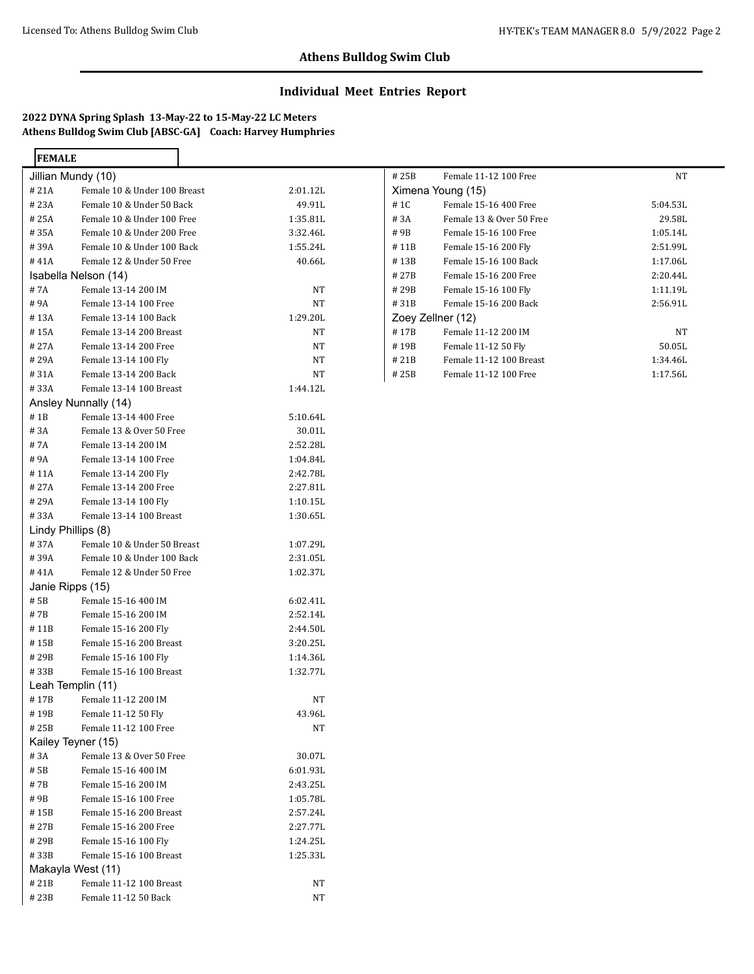## **Individual Meet Entries Report**

**2022 DYNA Spring Splash 13-May-22 to 15-May-22 LC Meters Athens Bulldog Swim Club [ABSC-GA] Coach: Harvey Humphries**

> $\overline{\phantom{a}}$

| <b>FEMALE</b>      |                              |          |
|--------------------|------------------------------|----------|
| Jillian Mundy (10) |                              |          |
| #21A               | Female 10 & Under 100 Breast | 2:01.12L |
| #23A               | Female 10 & Under 50 Back    | 49.91L   |
| #25A               | Female 10 & Under 100 Free   | 1:35.81L |
| #35A               | Female 10 & Under 200 Free   | 3:32.46L |
| #39A               | Female 10 & Under 100 Back   | 1:55.24L |
| #41A               | Female 12 & Under 50 Free    | 40.66L   |
|                    | Isabella Nelson (14)         |          |
| # 7A               | Female 13-14 200 IM          | NΤ       |
| #9A                | Female 13-14 100 Free        | NT       |
| # 13A              | Female 13-14 100 Back        | 1:29.20L |
| #15A               | Female 13-14 200 Breast      | NT       |
| #27A               | Female 13-14 200 Free        | NΤ       |
| #29A               | Female 13-14 100 Fly         | NΤ       |
| #31A               | Female 13-14 200 Back        | NT       |
| #33A               | Female 13-14 100 Breast      | 1:44.12L |
|                    | Ansley Nunnally (14)         |          |
| $#$ 1 $B$          | Female 13-14 400 Free        | 5:10.64L |
| #3A                | Female 13 & Over 50 Free     | 30.01L   |
| # 7A               | Female 13-14 200 IM          | 2:52.28L |
| #9A                | Female 13-14 100 Free        | 1:04.84L |
| #11A               | Female 13-14 200 Fly         | 2:42.78L |
| #27A               | Female 13-14 200 Free        | 2:27.81L |
| #29A               | Female 13-14 100 Fly         | 1:10.15L |
| #33A               | Female 13-14 100 Breast      | 1:30.65L |
| Lindy Phillips (8) |                              |          |
| #37A               | Female 10 & Under 50 Breast  | 1:07.29L |
| #39A               | Female 10 & Under 100 Back   | 2:31.05L |
| #41A               | Female 12 & Under 50 Free    | 1:02.37L |
| Janie Ripps (15)   |                              |          |
| # 5B               | Female 15-16 400 IM          | 6:02.41L |
| # 7B               | Female 15-16 200 IM          | 2:52.14L |
| # 11B              | Female 15-16 200 Fly         | 2:44.50L |
| #15B               | Female 15-16 200 Breast      | 3:20.25L |
| # 29B              | Female 15-16 100 Fly         | 1:14.36L |
| #33B               | Female 15-16 100 Breast      | 1:32.77L |
| Leah Templin (11)  |                              |          |
| #17B               | Female 11-12 200 IM          | NT       |
| # 19B              | Female 11-12 50 Fly          | 43.96L   |
| #25B               | Female 11-12 100 Free        | NT       |
| Kailey Teyner (15) |                              |          |
| #3A                | Female 13 & Over 50 Free     | 30.07L   |
| # 5B               | Female 15-16 400 IM          | 6:01.93L |
| # 7B               | Female 15-16 200 IM          | 2:43.25L |
| # 9B               | Female 15-16 100 Free        | 1:05.78L |
| # 15B              | Female 15-16 200 Breast      | 2:57.24L |
| # 27B              | Female 15-16 200 Free        | 2:27.77L |
| #29B               | Female 15-16 100 Fly         | 1:24.25L |
| #33B               | Female 15-16 100 Breast      | 1:25.33L |
| Makayla West (11)  |                              |          |
| #21B               | Female 11-12 100 Breast      |          |
|                    |                              | NT       |
| # 23B              | Female 11-12 50 Back         | NT       |

| # 25B             | Female 11-12 100 Free    | NT       |
|-------------------|--------------------------|----------|
| Ximena Young (15) |                          |          |
| # 1C              | Female 15-16 400 Free    | 5:04.53L |
| # 3A              | Female 13 & Over 50 Free | 29.58L   |
| #9B               | Female 15-16 100 Free    | 1:05.14L |
| #11B              | Female 15-16 200 Fly     | 2:51.99L |
| #13B              | Female 15-16 100 Back    | 1:17.06L |
| #27B              | Female 15-16 200 Free    | 2:20.44L |
| # 29B             | Female 15-16 100 Fly     | 1:11.19L |
| #31B              | Female 15-16 200 Back    | 2:56.91L |
| Zoey Zellner (12) |                          |          |
| #17B              | Female 11-12 200 IM      | NT       |
| #19B              | Female 11-12 50 Fly      | 50.05L   |
| # 21B             | Female 11-12 100 Breast  | 1:34.46L |
| # 25B             | Female 11-12 100 Free    | 1:17.56L |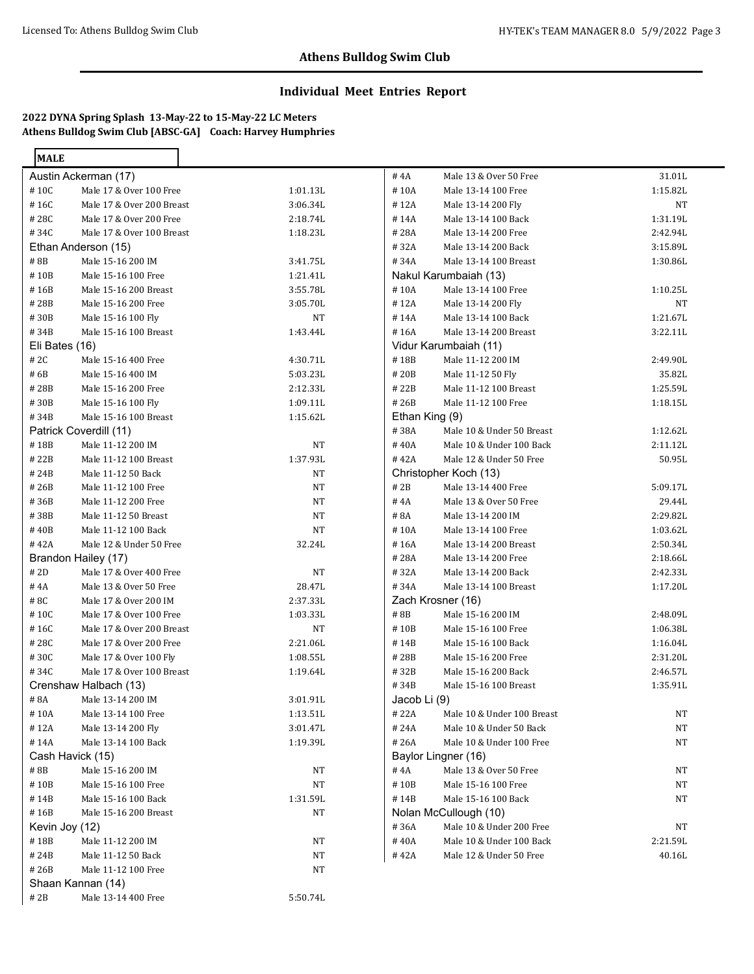## **Individual Meet Entries Report**

**2022 DYNA Spring Splash 13-May-22 to 15-May-22 LC Meters Athens Bulldog Swim Club [ABSC-GA] Coach: Harvey Humphries**

| <b>MALE</b>    |                           |           |              |                            |           |
|----------------|---------------------------|-----------|--------------|----------------------------|-----------|
|                | Austin Ackerman (17)      |           | #4A          | Male 13 & Over 50 Free     | 31.01L    |
| #10C           | Male 17 & Over 100 Free   | 1:01.13L  | #10A         | Male 13-14 100 Free        | 1:15.82L  |
| #16C           | Male 17 & Over 200 Breast | 3:06.34L  | #12A         | Male 13-14 200 Fly         | NT        |
| #28C           | Male 17 & Over 200 Free   | 2:18.74L  | #14A         | Male 13-14 100 Back        | 1:31.19L  |
| #34C           | Male 17 & Over 100 Breast | 1:18.23L  | #28A         | Male 13-14 200 Free        | 2:42.94L  |
|                | Ethan Anderson (15)       |           | #32A         | Male 13-14 200 Back        | 3:15.89L  |
| $\#$ 8B        | Male 15-16 200 IM         | 3:41.75L  | #34A         | Male 13-14 100 Breast      | 1:30.86L  |
| #10B           | Male 15-16 100 Free       | 1:21.41L  |              | Nakul Karumbaiah (13)      |           |
| #16B           | Male 15-16 200 Breast     | 3:55.78L  | #10A         | Male 13-14 100 Free        | 1:10.25L  |
| #28B           | Male 15-16 200 Free       | 3:05.70L  | #12A         | Male 13-14 200 Fly         | NT        |
| #30B           | Male 15-16 100 Fly        | NT        | #14A         | Male 13-14 100 Back        | 1:21.67L  |
| #34B           | Male 15-16 100 Breast     | 1:43.44L  | #16A         | Male 13-14 200 Breast      | 3:22.11L  |
| Eli Bates (16) |                           |           |              | Vidur Karumbaiah (11)      |           |
| # 2C           | Male 15-16 400 Free       | 4:30.71L  | #18B         | Male 11-12 200 IM          | 2:49.90L  |
| #6B            | Male 15-16 400 IM         | 5:03.23L  | #20B         | Male 11-12 50 Fly          | 35.82L    |
| #28B           | Male 15-16 200 Free       | 2:12.33L  | #22B         | Male 11-12 100 Breast      | 1:25.59L  |
| #30B           | Male 15-16 100 Fly        | 1:09.11L  | #26B         | Male 11-12 100 Free        | 1:18.15L  |
| #34B           | Male 15-16 100 Breast     | 1:15.62L  |              | Ethan King (9)             |           |
|                | Patrick Coverdill (11)    |           | #38A         | Male 10 & Under 50 Breast  | 1:12.62L  |
| #18B           | Male 11-12 200 IM         | NT        | #40A         | Male 10 & Under 100 Back   | 2:11.12L  |
| #22B           | Male 11-12 100 Breast     | 1:37.93L  | #42A         | Male 12 & Under 50 Free    | 50.95L    |
| #24B           | Male 11-12 50 Back        | NT        |              | Christopher Koch (13)      |           |
| #26B           | Male 11-12 100 Free       | NT        | # 2B         | Male 13-14 400 Free        | 5:09.17L  |
| #36B           | Male 11-12 200 Free       | NT        | #4A          | Male 13 & Over 50 Free     | 29.44L    |
| #38B           | Male 11-12 50 Breast      | NT        | #8A          | Male 13-14 200 IM          | 2:29.82L  |
| #40B           | Male 11-12 100 Back       | NT        | #10A         | Male 13-14 100 Free        | 1:03.62L  |
| #42A           | Male 12 & Under 50 Free   | 32.24L    | #16A         | Male 13-14 200 Breast      | 2:50.34L  |
|                | Brandon Hailey (17)       |           | #28A         | Male 13-14 200 Free        | 2:18.66L  |
| # 2D           | Male 17 & Over 400 Free   | <b>NT</b> | #32A         | Male 13-14 200 Back        | 2:42.33L  |
| $\#$ 4A        | Male 13 & Over 50 Free    | 28.47L    | #34A         | Male 13-14 100 Breast      | 1:17.20L  |
| #8C            | Male 17 & Over 200 IM     | 2:37.33L  |              | Zach Krosner (16)          |           |
| #10C           | Male 17 & Over 100 Free   | 1:03.33L  | #8B          | Male 15-16 200 IM          | 2:48.09L  |
| #16C           | Male 17 & Over 200 Breast | <b>NT</b> | #10B         | Male 15-16 100 Free        | 1:06.38L  |
| #28C           | Male 17 & Over 200 Free   | 2:21.06L  | #14B         | Male 15-16 100 Back        | 1:16.04L  |
| #30C           | Male 17 & Over 100 Fly    | 1:08.55L  | #28B         | Male 15-16 200 Free        | 2:31.20L  |
| #34C           | Male 17 & Over 100 Breast | 1:19.64L  | #32B         | Male 15-16 200 Back        | 2:46.57L  |
|                | Crenshaw Halbach (13)     |           | #34B         | Male 15-16 100 Breast      | 1:35.91L  |
| # 8A           | Male 13-14 200 IM         | 3:01.91L  | Jacob Li (9) |                            |           |
| #10A           | Male 13-14 100 Free       | 1:13.51L  | # 22A        | Male 10 & Under 100 Breast | NT        |
| #12A           | Male 13-14 200 Fly        | 3:01.47L  | # 24A        | Male 10 & Under 50 Back    | NT        |
| #14A           | Male 13-14 100 Back       | 1:19.39L  | #26A         | Male 10 & Under 100 Free   | NT        |
|                | Cash Havick (15)          |           |              | Baylor Lingner (16)        |           |
| #8B            | Male 15-16 200 IM         | <b>NT</b> | # 4A         | Male 13 & Over 50 Free     | NT        |
| #10B           | Male 15-16 100 Free       | <b>NT</b> | #10B         | Male 15-16 100 Free        | NT        |
| #14B           | Male 15-16 100 Back       | 1:31.59L  | #14B         | Male 15-16 100 Back        | NT        |
| #16B           | Male 15-16 200 Breast     | <b>NT</b> |              | Nolan McCullough (10)      |           |
| Kevin Joy (12) |                           |           | #36A         | Male 10 & Under 200 Free   | <b>NT</b> |
| #18B           | Male 11-12 200 IM         | NT        | #40A         | Male 10 & Under 100 Back   | 2:21.59L  |
| #24B           | Male 11-12 50 Back        | NT        | #42A         | Male 12 & Under 50 Free    | 40.16L    |
| #26B           | Male 11-12 100 Free       | NT        |              |                            |           |
|                | Shaan Kannan (14)         |           |              |                            |           |
| # 2B           | Male 13-14 400 Free       | 5:50.74L  |              |                            |           |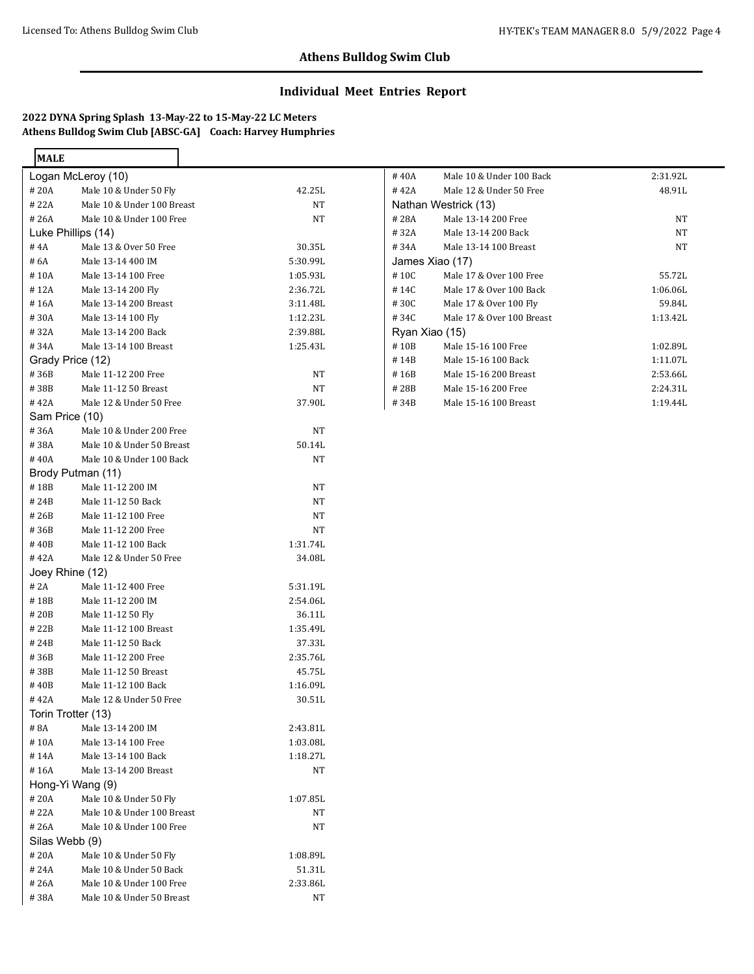## **Individual Meet Entries Report**

**2022 DYNA Spring Splash 13-May-22 to 15-May-22 LC Meters Athens Bulldog Swim Club [ABSC-GA] Coach: Harvey Humphries**

| <b>MALE</b>        |                            |          |
|--------------------|----------------------------|----------|
|                    | Logan McLeroy (10)         |          |
| # 20A              | Male 10 & Under 50 Fly     | 42.25L   |
| #22A               | Male 10 & Under 100 Breast | NΤ       |
| # 26A              | Male 10 & Under 100 Free   | NΤ       |
| Luke Phillips (14) |                            |          |
| # 4A               | Male 13 & Over 50 Free     | 30.35L   |
| # 6A               | Male 13-14 400 IM          | 5:30.99L |
| #10A               | Male 13-14 100 Free        | 1:05.93L |
| #12A               | Male 13-14 200 Fly         | 2:36.72L |
| #16A               | Male 13-14 200 Breast      | 3:11.48L |
| #30A               | Male 13-14 100 Fly         | 1:12.23L |
| #32A               | Male 13-14 200 Back        | 2:39.88L |
| #34A               | Male 13-14 100 Breast      | 1:25.43L |
| Grady Price (12)   |                            |          |
| #36B               | Male 11-12 200 Free        | NΤ       |
| #38B               | Male 11-12 50 Breast       | NΤ       |
| #42A               | Male 12 & Under 50 Free    | 37.90L   |
| Sam Price (10)     |                            |          |
| #36A               | Male 10 & Under 200 Free   | NΤ       |
| #38A               | Male 10 & Under 50 Breast  | 50.14L   |
| #40A               | Male 10 & Under 100 Back   | NΤ       |
|                    | Brody Putman (11)          |          |
| #18B               | Male 11-12 200 IM          | NΤ       |
| #24B               | Male 11-12 50 Back         | NΤ       |
| # 26B              | Male 11-12 100 Free        | NΤ       |
| #36B               | Male 11-12 200 Free        | NΤ       |
| #40B               | Male 11-12 100 Back        | 1:31.74L |
| #42A               | Male 12 & Under 50 Free    | 34.08L   |
| Joey Rhine (12)    |                            |          |
| # 2A               | Male 11-12 400 Free        | 5:31.19L |
| #18B               | Male 11-12 200 IM          | 2:54.06L |
| # 20B              | Male 11-12 50 Fly          | 36.11L   |
| #22B               | Male 11-12 100 Breast      | 1:35.49L |
| # 24B              | Male 11-12 50 Back         | 37.33L   |
| #36B               | Male 11-12 200 Free        | 2:35.76L |
| #38B               | Male 11-12 50 Breast       | 45.75L   |
| # 40B              | Male 11-12 100 Back        | 1:16.09L |
| #42A               | Male 12 & Under 50 Free    | 30.51L   |
| Torin Trotter (13) |                            |          |
| #8A                | Male 13-14 200 IM          | 2:43.81L |
| #10A               | Male 13-14 100 Free        | 1:03.08L |
| #14A               | Male 13-14 100 Back        | 1:18.27L |
| #16A               | Male 13-14 200 Breast      | NΤ       |
| Hong-Yi Wang (9)   |                            |          |
| #20A               | Male 10 & Under 50 Fly     | 1:07.85L |
| # 22A              | Male 10 & Under 100 Breast | NΤ       |
| #26A               | Male 10 & Under 100 Free   | NΤ       |
| Silas Webb (9)     |                            |          |
| #20A               | Male 10 & Under 50 Fly     | 1:08.89L |
| #24A               | Male 10 & Under 50 Back    | 51.31L   |
| # 26A              | Male 10 & Under 100 Free   | 2:33.86L |
| # 38A              | Male 10 & Under 50 Breast  | NΤ       |